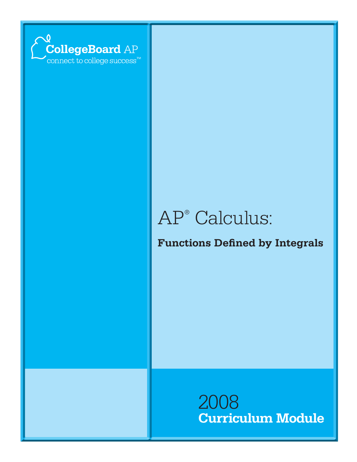

# AP® Calculus:

**Functions Defined by Integrals**

2008 **Curriculum Module**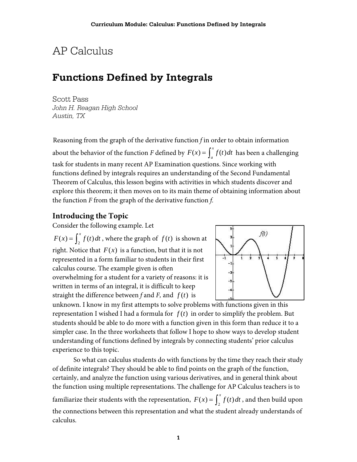# AP Calculus

# **Functions Defined by Integrals**

Scott Pass *John H. Reagan High School Austin, TX* 

Reasoning from the graph of the derivative function *f* in order to obtain information about the behavior of the function *F* defined by  $F(x) = \int_a^x f(t) dt$  has been a challenging task for students in many recent AP Examination questions. Since working with functions defined by integrals requires an understanding of the Second Fundamental Theorem of Calculus, this lesson begins with activities in which students discover and explore this theorem; it then moves on to its main theme of obtaining information about the function *F* from the graph of the derivative function *f.* 

# **Introducing the Topic**

Consider the following example. Let

 $F(x) = \int_2^x f(t) dt$  $\int_2^x f(t) dt$ , where the graph of  $f(t)$  is shown at right. Notice that  $F(x)$  is a function, but that it is not represented in a form familiar to students in their first calculus course. The example given is often overwhelming for a student for a variety of reasons: it is written in terms of an integral, it is difficult to keep straight the difference between  $f$  and  $F$ , and  $f(t)$  is



unknown. I know in my first attempts to solve problems with functions given in this representation I wished I had a formula for  $f(t)$  in order to simplify the problem. But students should be able to do more with a function given in this form than reduce it to a simpler case. In the three worksheets that follow I hope to show ways to develop student understanding of functions defined by integrals by connecting students' prior calculus experience to this topic.

So what can calculus students do with functions by the time they reach their study of definite integrals? They should be able to find points on the graph of the function, certainly, and analyze the function using various derivatives, and in general think about the function using multiple representations. The challenge for AP Calculus teachers is to familiarize their students with the representation,  $F(x) = \int_2^x f(t) dt$  $\int_2^x f(t) dt$  , and then build upon the connections between this representation and what the student already understands of calculus.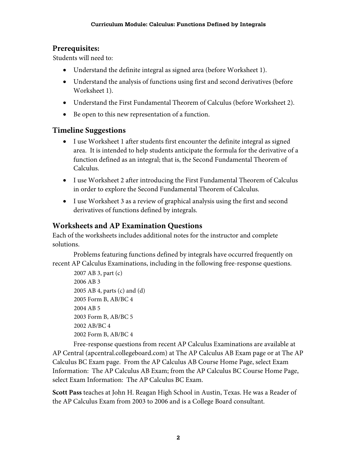# **Prerequisites:**

Students will need to:

- Understand the definite integral as signed area (before Worksheet 1).
- Understand the analysis of functions using first and second derivatives (before Worksheet 1).
- Understand the First Fundamental Theorem of Calculus (before Worksheet 2).
- Be open to this new representation of a function.

# **Timeline Suggestions**

- I use Worksheet 1 after students first encounter the definite integral as signed area. It is intended to help students anticipate the formula for the derivative of a function defined as an integral; that is, the Second Fundamental Theorem of Calculus.
- I use Worksheet 2 after introducing the First Fundamental Theorem of Calculus in order to explore the Second Fundamental Theorem of Calculus.
- I use Worksheet 3 as a review of graphical analysis using the first and second derivatives of functions defined by integrals.

# **Worksheets and AP Examination Questions**

Each of the worksheets includes additional notes for the instructor and complete solutions.

 Problems featuring functions defined by integrals have occurred frequently on recent AP Calculus Examinations, including in the following free-response questions.

```
2007 AB 3, part (c) 
2006 AB 3 
2005 AB 4, parts (c) and (d) 
2005 Form B, AB/BC 4 
2004 AB 5 
2003 Form B, AB/BC 5 
2002 AB/BC 4 
2002 Form B, AB/BC 4
```
Free-response questions from recent AP Calculus Examinations are available at AP Central (apcentral.collegeboard.com) at The AP Calculus AB Exam page or at The AP Calculus BC Exam page. From the AP Calculus AB Course Home Page, select Exam Information: The AP Calculus AB Exam; from the AP Calculus BC Course Home Page, select Exam Information: The AP Calculus BC Exam.

**Scott Pass** teaches at John H. Reagan High School in Austin, Texas. He was a Reader of the AP Calculus Exam from 2003 to 2006 and is a College Board consultant.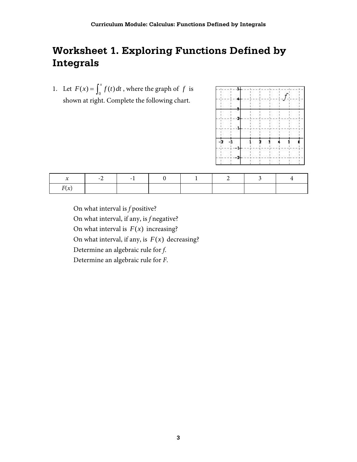# **Worksheet 1. Exploring Functions Defined by Integrals**

1. Let  $F(x) = \int_0^x f(t) dt$  $\int_0^x f(t) dt$ , where the graph of  $f$  is shown at right. Complete the following chart.



|      | - 1 | $-1$ |  |  |  |
|------|-----|------|--|--|--|
| F(x) |     |      |  |  |  |

On what interval is *f* positive?

On what interval, if any, is *f* negative?

On what interval is  $F(x)$  increasing?

On what interval, if any, is  $F(x)$  decreasing?

Determine an algebraic rule for *f*.

Determine an algebraic rule for *F*.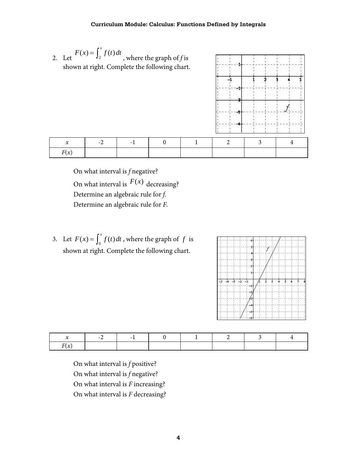2. Let  $F(x) = \int_2^x f(t) dt$  $\int_2^x f(t) dt$ , where the graph of *f* is shown at right. Complete the following chart.

|        |      | et $f(x) = \int_2 f(t) dt$ , where the graph of f is<br>hown at right. Complete the following chart. |  |  |  |
|--------|------|------------------------------------------------------------------------------------------------------|--|--|--|
| $\chi$ | $-2$ |                                                                                                      |  |  |  |

On what interval is *f* negative? On what interval is  $F(x)$  decreasing? Determine an algebraic rule for *f.* Determine an algebraic rule for *F.* 

*F*(*x*)

3. Let  $F(x) = \int_0^x f(t) dt$  $\int_0^x f(t) dt$ , where the graph of  $f$  is shown at right. Complete the following chart.



|    | - | - |  |  |  |
|----|---|---|--|--|--|
| F( |   |   |  |  |  |

On what interval is *f* positive? On what interval is *f* negative? On what interval is *F* increasing? On what interval is *F* decreasing?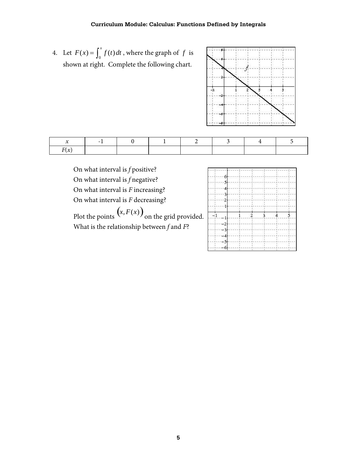4. Let  $F(x) = \int_0^x f(t) dt$  $\int_0^x f(t) dt$ , where the graph of  $f$  is shown at right. Complete the following chart.



|                                      | $\sim$ |  |  |  |
|--------------------------------------|--------|--|--|--|
| $E(\sim$<br>$\overline{\phantom{a}}$ |        |  |  |  |

| On what interval is f positive?                   |      |  |  |  |
|---------------------------------------------------|------|--|--|--|
| On what interval is f negative?                   |      |  |  |  |
| On what interval is $F$ increasing?               |      |  |  |  |
| On what interval is $F$ decreasing?               |      |  |  |  |
| Plot the points $(x, F(x))$ on the grid provided. | $-1$ |  |  |  |
| What is the relationship between $f$ and $F$ ?    |      |  |  |  |
|                                                   |      |  |  |  |
|                                                   |      |  |  |  |
|                                                   |      |  |  |  |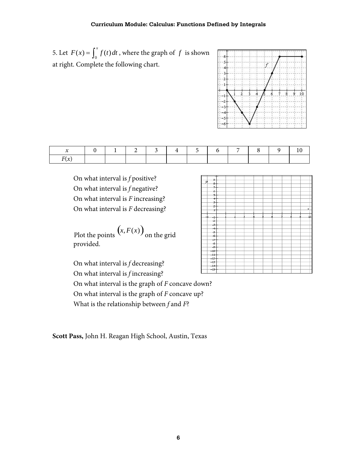5. Let  $F(x) = \int_0^x f(t) dt$  $\int_0^x f(t) dt$ , where the graph of  $f$  is shown at right. Complete the following chart.



| $\mathbf{r}$ |  |  |  |  |  |  |
|--------------|--|--|--|--|--|--|

On what interval is *f* positive? On what interval is *f* negative? On what interval is *F* increasing? On what interval is *F* decreasing?

Plot the points  $(x, F(x))$  on the grid provided.

On what interval is *f* decreasing?

On what interval is *f* increasing?

On what interval is the graph of *F* concave down?

On what interval is the graph of *F* concave up?

What is the relationship between *f* and *F*?

|        | 9.                   |  |  |  |   |    |
|--------|----------------------|--|--|--|---|----|
| Ŕ      | 8-                   |  |  |  |   |    |
|        |                      |  |  |  |   |    |
|        | $\overline{t}$       |  |  |  |   |    |
|        | 6                    |  |  |  |   |    |
|        | 5                    |  |  |  |   |    |
|        | $\ddot{\phantom{1}}$ |  |  |  |   |    |
|        | 3.                   |  |  |  |   |    |
|        |                      |  |  |  |   |    |
|        | $\mathbf{2}$         |  |  |  |   |    |
|        | $1-$                 |  |  |  |   | x. |
|        |                      |  |  |  |   |    |
| $-1-$  |                      |  |  |  | ٥ | 10 |
| ÷      |                      |  |  |  |   |    |
|        |                      |  |  |  |   |    |
| -3-    |                      |  |  |  |   |    |
|        | $\overline{4}$       |  |  |  |   |    |
| J.     |                      |  |  |  |   |    |
|        | -6-                  |  |  |  |   |    |
| -7-    |                      |  |  |  |   |    |
| -8-    |                      |  |  |  |   |    |
|        |                      |  |  |  |   |    |
| ÷      |                      |  |  |  |   |    |
| $-10-$ |                      |  |  |  |   |    |
| $-11-$ |                      |  |  |  |   |    |
| $-12-$ |                      |  |  |  |   |    |
| $-13-$ |                      |  |  |  |   |    |
| $-14-$ |                      |  |  |  |   |    |
|        |                      |  |  |  |   |    |
| $-15-$ |                      |  |  |  |   |    |
|        |                      |  |  |  |   |    |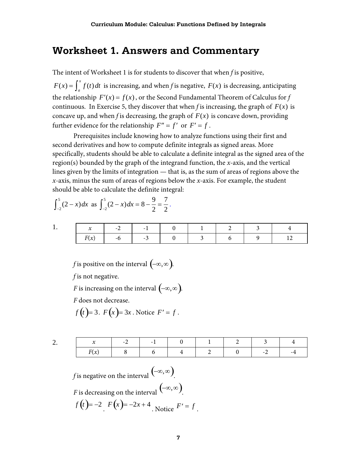# **Worksheet 1. Answers and Commentary**

The intent of Worksheet 1 is for students to discover that when *f* is positive,

 $F(x) = \int_a^x f(t) dt$  is increasing, and when *f* is negative,  $F(x)$  is decreasing, anticipating the relationship  $F'(x) = f(x)$ , or the Second Fundamental Theorem of Calculus for *f* continuous. In Exercise 5, they discover that when *f* is increasing, the graph of  $F(x)$  is concave up, and when *f* is decreasing, the graph of  $F(x)$  is concave down, providing further evidence for the relationship  $F'' = f'$  or  $F' = f$ .

Prerequisites include knowing how to analyze functions using their first and second derivatives and how to compute definite integrals as signed areas. More specifically, students should be able to calculate a definite integral as the signed area of the region(s) bounded by the graph of the integrand function, the *x*-axis, and the vertical lines given by the limits of integration — that is, as the sum of areas of regions above the *x*-axis, minus the sum of areas of regions below the *x*-axis. For example, the student should be able to calculate the definite integral:

$$
\int_{-2}^{5} (2-x) dx \text{ as } \int_{-2}^{5} (2-x) dx = 8 - \frac{9}{2} = \frac{7}{2}.
$$

1.

2.

|  | $\overline{\phantom{0}}$ | - -                      |  |  |  |
|--|--------------------------|--------------------------|--|--|--|
|  | – r                      | $\overline{\phantom{0}}$ |  |  |  |

*f* is positive on the interval  $(-\infty,\infty)$ .

*f* is not negative.

*F* is increasing on the interval  $(-\infty, \infty)$ .

*F* does not decrease.

*f*  $f(t) = 3$ *. F* $(x) = 3x$ *.* Notice  $F' = f$ *.* 

|  | $\overline{\phantom{a}}$ | $\overline{\phantom{0}}$ |  |   |  |
|--|--------------------------|--------------------------|--|---|--|
|  |                          |                          |  | - |  |

f is negative on the interval 
$$
(-\infty, \infty)
$$
.  
\nF is decreasing on the interval  $(-\infty, \infty)$ .  
\n $f(t) = -2$ ,  $F(x) = -2x + 4$ . Notice  $F' = f$ .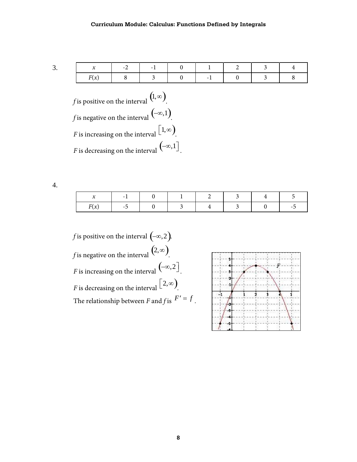#### **Curriculum Module: Calculus: Functions Defined by Integrals**

3.

|    | $\overline{\phantom{0}}$ | $\overline{\phantom{0}}$ |                          |  |  |
|----|--------------------------|--------------------------|--------------------------|--|--|
| いい |                          |                          | $\overline{\phantom{0}}$ |  |  |

*f* is positive on the interval  $\left(1, \infty\right)$ . *f* is negative on the interval  $(-\infty,1)$ . *F* is increasing on the interval  $\left[1, \infty\right)$ . *F* is decreasing on the interval  $\left(-\infty,1\right]$ .

4.

| л    | $-1$ |  |  |   |
|------|------|--|--|---|
| F(x) | $-$  |  |  | - |

*f* is positive on the interval  $(-\infty, 2)$ . *f* is negative on the interval  $(2, \infty)$ . *F* is increasing on the interval  $(-\infty, 2]$ . *F* is decreasing on the interval  $\left[2, \infty\right)$ . The relationship between *F* and *f* is  $F' = f$ .

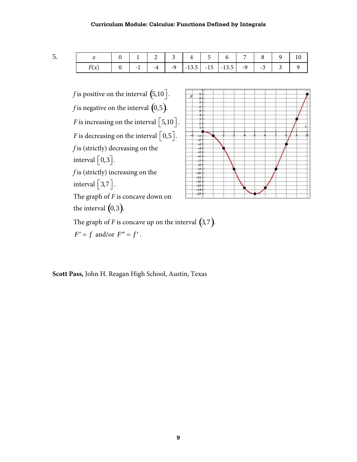#### **Curriculum Module: Calculus: Functions Defined by Integrals**

|  |                              |      | 1 2 3 4 5 6                                                                        |  |  |  |
|--|------------------------------|------|------------------------------------------------------------------------------------|--|--|--|
|  | $\overline{\phantom{0}}$ . 1 | $-4$ | $\vert$ -9 $\vert$ -13.5 $\vert$ -15 $\vert$ -13.5 $\vert$ -9 $\vert$ -3 $\vert$ 3 |  |  |  |



**Scott Pass,** John H. Reagan High School, Austin, Texas

5.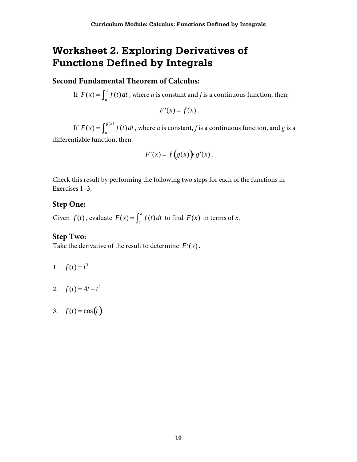# **Worksheet 2. Exploring Derivatives of Functions Defined by Integrals**

### **Second Fundamental Theorem of Calculus:**

If  $F(x) = \int_a^x f(t) dt$ , where *a* is constant and *f* is a continuous function, then:

$$
F'(x) = f(x).
$$

If  $F(x) = \int_{a}^{g(x)} f(t) dt$ , where *a* is constant, *f* is a continuous function, and *g* is a differentiable function, then:

$$
F'(x) = f(g(x)) \cdot g'(x).
$$

Check this result by performing the following two steps for each of the functions in Exercises 1–3.

### **Step One:**

Given  $f(t)$ , evaluate  $F(x) = \int_1^x f(t) dt$  $\int_1^x f(t) dt$  to find  $F(x)$  in terms of *x*.

### **Step Two:**

Take the derivative of the result to determine *F*′(*x*).

$$
1. \quad f(t) = t^3
$$

2.  $f(t) = 4t - t^2$ 

3.  $f(t) = \cos(t)$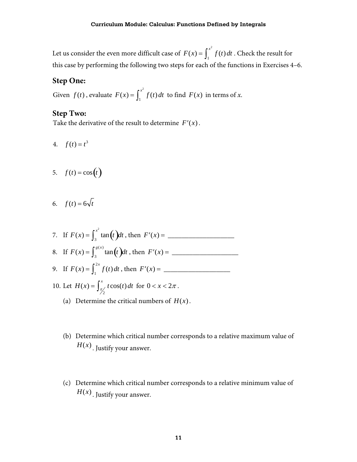Let us consider the even more difficult case of  $F(x) = \int_1^x f(t) dt$  $\int_1^{x^2} f(t) dt$  . Check the result for this case by performing the following two steps for each of the functions in Exercises 4–6.

### **Step One:**

Given  $f(t)$ , evaluate  $F(x) = \int_1^x f(t) dt$  $\int_1^{x^2} f(t) dt$  to find  $F(x)$  in terms of *x*.

#### **Step Two:**

Take the derivative of the result to determine  $F'(x)$ .

- 4.  $f(t) = t^3$
- 5.  $f(t) = \cos(t)$
- 6.  $f(t) = 6\sqrt{t}$
- 7. If  $F(x) = \int_3^{x^2} \tan(t) dt$ *x*2 ∫ , then *F*′(*x*) <sup>=</sup> \_\_\_\_\_\_\_\_\_\_\_\_\_\_\_\_\_\_\_ 8. If  $F(x) = \int_3^{g(x)} \tan(t) dt$ *g*( *x*) ∫ , then *F*′(*x*) <sup>=</sup> \_\_\_\_\_\_\_\_\_\_\_\_\_\_\_\_\_\_\_ 9. If  $F(x) = \int_1^{\infty} f(t) dt$ 2*x* ∫ , then *F*′(*x*) <sup>=</sup> \_\_\_\_\_\_\_\_\_\_\_\_\_\_\_\_\_\_\_ 10. Let  $H(x) = \int_{\pi/2}^{x} t \cos(t) dt$  $\int_{\pi/2}^x t \cos(t) dt$  for  $0 < x < 2\pi$ .
	- (a) Determine the critical numbers of  $H(x)$ .
	- (b) Determine which critical number corresponds to a relative maximum value of  $H(x)$ . Justify your answer.
	- (c) Determine which critical number corresponds to a relative minimum value of  $H(x)$ . Justify your answer.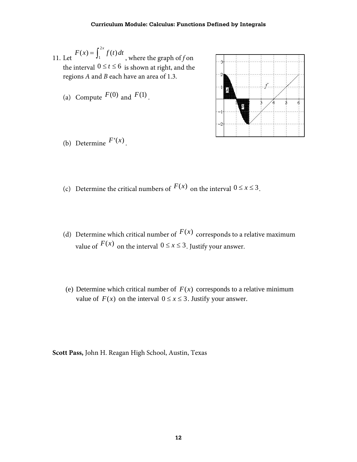- 11. Let  $F(x) = \int_{1}^{x} f(t) dt$  $\int_1^{2x} f(t) dt$ , where the graph of *f* on the interval  $0 \le t \le 6$  is shown at right, and the regions *A* and *B* each have an area of 1.3.
	- (a) Compute  $F(0)$  and  $F(1)$ .



- (b) Determine  $F'(x)$ .
- (c) Determine the critical numbers of  $F(x)$  on the interval  $0 \le x \le 3$ .
- (d) Determine which critical number of  $F(x)$  corresponds to a relative maximum value of  $F(x)$  on the interval  $0 \le x \le 3$ . Justify your answer.
- (e) Determine which critical number of  $F(x)$  corresponds to a relative minimum value of  $F(x)$  on the interval  $0 \le x \le 3$ . Justify your answer.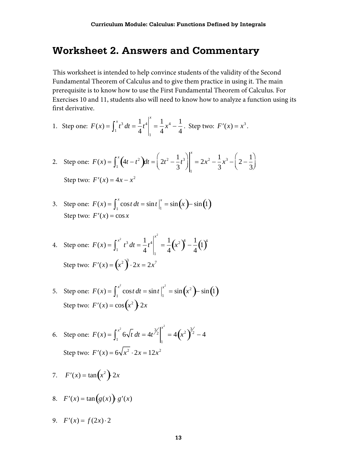# **Worksheet 2. Answers and Commentary**

This worksheet is intended to help convince students of the validity of the Second Fundamental Theorem of Calculus and to give them practice in using it. The main prerequisite is to know how to use the First Fundamental Theorem of Calculus. For Exercises 10 and 11, students also will need to know how to analyze a function using its first derivative.

1. Step one: 
$$
F(x) = \int_1^x t^3 dt = \frac{1}{4}t^4 \Big|_1^x = \frac{1}{4}x^4 - \frac{1}{4}
$$
. Step two:  $F'(x) = x^3$ .

- 2. Step one:  $F(x) = \int_{1}^{x} (4t t^2) dt$  $\int_1^x (4t - t^2) dt = \int_1^x 2t^2 - \frac{1}{3}$ 3  $\int 2t^2 - \frac{1}{2}t^3$  $\overline{\mathcal{N}}$ ⎞ ⎠ ⎟ 1 *x*  $= 2x^2 - \frac{1}{2}$ 3  $x^3 - \left(2 - \frac{1}{2}\right)$ 3  $\big($  $\overline{\mathcal{N}}$ ⎞ ⎠ ⎟ Step two:  $F'(x) = 4x - x^2$
- 3. Step one:  $F(x) = \int_1^{\infty} \cos t \, dt$  $\int_1^x \cos t \, dt = \sin t \Big|_1^x$  $\sum_{1}^{x} = \sin(x) - \sin(1)$ Step two:  $F'(x) = \cos x$
- 4. Step one:  $F(x) = \int_{1}^{x} t^3 dt$  $\int_1^{x^2} t^3 dt = \frac{1}{4}$ *t* 4 1  $\frac{x^2}{1} = \frac{1}{x}$ 4  $\left( x^2 \right)^4 - \frac{1}{4}$  $\frac{1}{4} (1)^4$ Step two:  $F'(x) = (x^2)^3 \cdot 2x = 2x^7$
- 5. Step one:  $F(x) = \int_1^{\infty} \cos t \, dt$  $\int_{1}^{x^2} \cos t \, dt = \sin t \Big|_{1}^{x}$  $x^{2}$  = sin  $(x^{2})$  - sin (1) Step two:  $F'(x) = \cos(x^2) 2x$
- 6. Step one:  $F(x) = \int_1^{\infty} 6\sqrt{t} dt$  $\int_1^{x^2} 6\sqrt{t} \ dt = 4t^{3/2}$ 1 *x*2  $= 4\left(x^2\right)^{3/2} - 4$ Step two:  $F'(x) = 6\sqrt{x^2 \cdot 2x} = 12x^2$
- 7.  $F'(x) = \tan(x^2) 2x$

8. 
$$
F'(x) = \tan(g(x)) \cdot g'(x)
$$

$$
9. \quad F'(x) = f(2x) \cdot 2
$$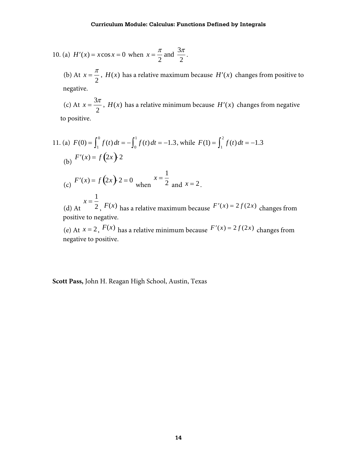10. (a) 
$$
H'(x) = x \cos x = 0
$$
 when  $x = \frac{\pi}{2}$  and  $\frac{3\pi}{2}$ .

(b) At  $x = \frac{\pi}{2}$ ,  $H(x)$  has a relative maximum because  $H'(x)$  changes from positive to negative.

(c) At  $x = \frac{3\pi}{2}$ ,  $H(x)$  has a relative minimum because  $H'(x)$  changes from negative to positive.

11. (a) 
$$
F(0) = \int_1^0 f(t) dt = -\int_0^1 f(t) dt = -1.3
$$
, while  $F(1) = \int_1^2 f(t) dt = -1.3$   
\n(b)  $F'(x) = f(2x) \cdot 2$   
\n(c)  $F'(x) = f(2x) \cdot 2 = 0$  when  $x = \frac{1}{2}$  and  $x = 2$ .

 (d) At 2,  $F(x)$  has a relative maximum because  $F'(x) = 2f(2x)$  changes from positive to negative.

(e) At  $x = 2$ ,  $F(x)$  has a relative minimum because  $F'(x) = 2f(2x)$  changes from negative to positive.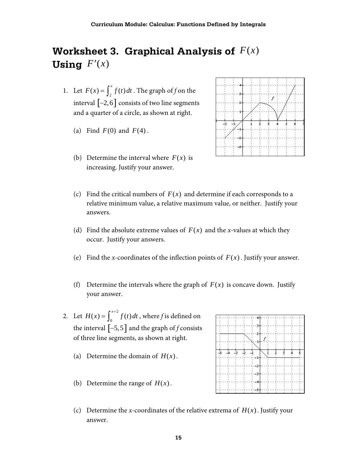# **Worksheet 3. Graphical Analysis of**  $F(x)$ Using  $F'(x)$

- 1. Let  $F(x) = \int_2^x f(t) dt$  $\int_2^x f(t) dt$  . The graph of *f* on the interval  $[-2,6]$  consists of two line segments and a quarter of a circle, as shown at right.
	- (a) Find  $F(0)$  and  $F(4)$ .
	- (b) Determine the interval where  $F(x)$  is increasing. Justify your answer.



- (c) Find the critical numbers of  $F(x)$  and determine if each corresponds to a relative minimum value, a relative maximum value, or neither. Justify your answers.
- (d) Find the absolute extreme values of  $F(x)$  and the *x*-values at which they occur. Justify your answers.
- (e) Find the *x*-coordinates of the inflection points of  $F(x)$ . Justify your answer.
- (f) Determine the intervals where the graph of  $F(x)$  is concave down. Justify your answer.
- 2. Let  $H(x) = \int_0^{x+2} f(t) dt$  $\int_0^{x+2} f(t) dt$  , where  $f$  is defined on the interval  $[-5,5]$  and the graph of *f* consists of three line segments, as shown at right.
	- (a) Determine the domain of  $H(x)$ .
	- (b) Determine the range of  $H(x)$ .
	- (c) Determine the *x*-coordinates of the relative extrema of  $H(x)$ . Justify your answer.

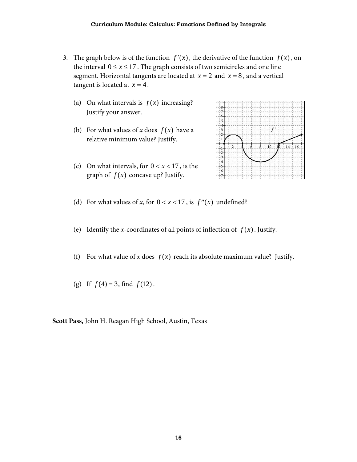- 3. The graph below is of the function  $f'(x)$ , the derivative of the function  $f(x)$ , on the interval  $0 \le x \le 17$ . The graph consists of two semicircles and one line segment. Horizontal tangents are located at  $x = 2$  and  $x = 8$ , and a vertical tangent is located at  $x = 4$ .
	- (a) On what intervals is  $f(x)$  increasing? Justify your answer.
	- (b) For what values of *x* does  $f(x)$  have a relative minimum value? Justify.
	- (c) On what intervals, for  $0 < x < 17$ , is the graph of  $f(x)$  concave up? Justify.



- (d) For what values of *x*, for  $0 < x < 17$ , is  $f''(x)$  undefined?
- (e) Identify the *x*-coordinates of all points of inflection of  $f(x)$ . Justify.
- (f) For what value of *x* does  $f(x)$  reach its absolute maximum value? Justify.
- (g) If  $f(4) = 3$ , find  $f(12)$ .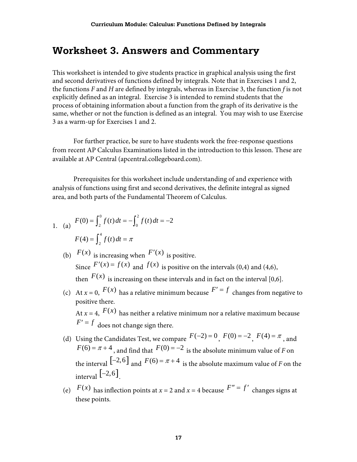# **Worksheet 3. Answers and Commentary**

This worksheet is intended to give students practice in graphical analysis using the first and second derivatives of functions defined by integrals. Note that in Exercises 1 and 2, the functions *F* and *H* are defined by integrals, whereas in Exercise 3, the function *f* is not explicitly defined as an integral. Exercise 3 is intended to remind students that the process of obtaining information about a function from the graph of its derivative is the same, whether or not the function is defined as an integral. You may wish to use Exercise 3 as a warm-up for Exercises 1 and 2.

For further practice, be sure to have students work the free-response questions from recent AP Calculus Examinations listed in the introduction to this lesson. These are available at AP Central (apcentral.collegeboard.com).

Prerequisites for this worksheet include understanding of and experience with analysis of functions using first and second derivatives, the definite integral as signed area, and both parts of the Fundamental Theorem of Calculus.

1. (a) 
$$
F(0) = \int_2^0 f(t) dt = -\int_0^2 f(t) dt = -2
$$

$$
F(4) = \int_2^4 f(t) dt = \pi
$$

- (b)  $F(x)$  is increasing when  $F'(x)$  is positive. Since  $F'(x) = f(x)$  and  $f(x)$  is positive on the intervals (0,4) and (4,6), then  $F(x)$  is increasing on these intervals and in fact on the interval [0,6].
- (c) At  $x = 0$ ,  $F(x)$  has a relative minimum because  $F' = f$  changes from negative to positive there.

At  $x = 4$ ,  $F(x)$  has neither a relative minimum nor a relative maximum because  $F' = f$  does not change sign there.

- (d) Using the Candidates Test, we compare  $F(-2) = 0$ ,  $F(0) = -2$ ,  $F(4) = \pi$ , and *F*(6) =  $\pi$  + 4, and find that *F*(0) = −2 is the absolute minimum value of *F* on the interval  $[-2, 6]$  and  $F(6) = \pi + 4$  is the absolute maximum value of *F* on the interval  $[-2, 6]$
- (e)  $F(x)$  has inflection points at  $x = 2$  and  $x = 4$  because  $F'' = f'$  changes signs at these points.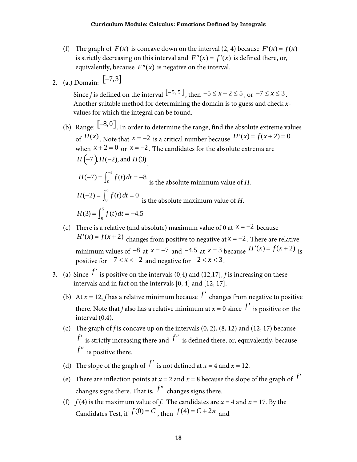- (f) The graph of  $F(x)$  is concave down on the interval (2, 4) because  $F'(x) = f(x)$ is strictly decreasing on this interval and  $F''(x) = f'(x)$  is defined there, or, equivalently, because  $F''(x)$  is negative on the interval.
- 2. (a.) Domain:  $[-7,3]$

Since *f* is defined on the interval  $[-5.5]$ , then  $-5 \le x + 2 \le 5$ , or  $-7 \le x \le 3$ . Another suitable method for determining the domain is to guess and check *x*values for which the integral can be found.

(b) Range:  $\left[ -8,0 \right]$ . In order to determine the range, find the absolute extreme values of  $H(x)$ . Note that  $x = -2$  is a critical number because  $H'(x) = f(x + 2) = 0$ when  $x + 2 = 0$  or  $x = -2$ . The candidates for the absolute extrema are *H*  $\left(-7\right)$ *H* $\left(-2\right)$ , and *H* $\left(3\right)$ . *H*(-7) =  $\int_0^{\infty} f(t) dt$  $\int_0^{-5} f(t) dt = -8$  is the absolute minimum value of *H*.

$$
H(-2) = \int_0^0 f(t) dt = 0
$$
  
is the absolute maximum value of H.  

$$
H(3) = \int_0^5 f(t) dt = -4.5
$$

- (c) There is a relative (and absolute) maximum value of 0 at  $x = -2$  because  $H'(x) = f(x+2)$  changes from positive to negative at  $x = -2$ . There are relative minimum values of  $-8$  at  $x = -7$  and  $-4.5$  at  $x = 3$  because  $H'(x) = f(x + 2)$  is positive for  $-7 < x < -2$  and negative for  $-2 < x < 3$ .
- 3. (a) Since  $f'$  is positive on the intervals (0,4) and (12,17],  $f$  is increasing on these intervals and in fact on the intervals [0, 4] and [12, 17].
	- (b) At  $x = 12$ , *f* has a relative minimum because  $f'$  changes from negative to positive there. Note that *f* also has a relative minimum at  $x = 0$  since  $f'$  is positive on the interval (0,4).
	- (c) The graph of *f* is concave up on the intervals (0, 2), (8, 12) and (12, 17) because  $f'$  is strictly increasing there and  $f''$  is defined there, or, equivalently, because  $f''$  is positive there.
	- (d) The slope of the graph of  $f'$  is not defined at  $x = 4$  and  $x = 12$ .
	- (e) There are inflection points at  $x = 2$  and  $x = 8$  because the slope of the graph of  $f'$ changes signs there. That is,  $f''$  changes signs there.
	- (f)  $f(4)$  is the maximum value of *f*. The candidates are  $x = 4$  and  $x = 17$ . By the Candidates Test, if  $f(0) = C$ , then  $f(4) = C + 2\pi$  and